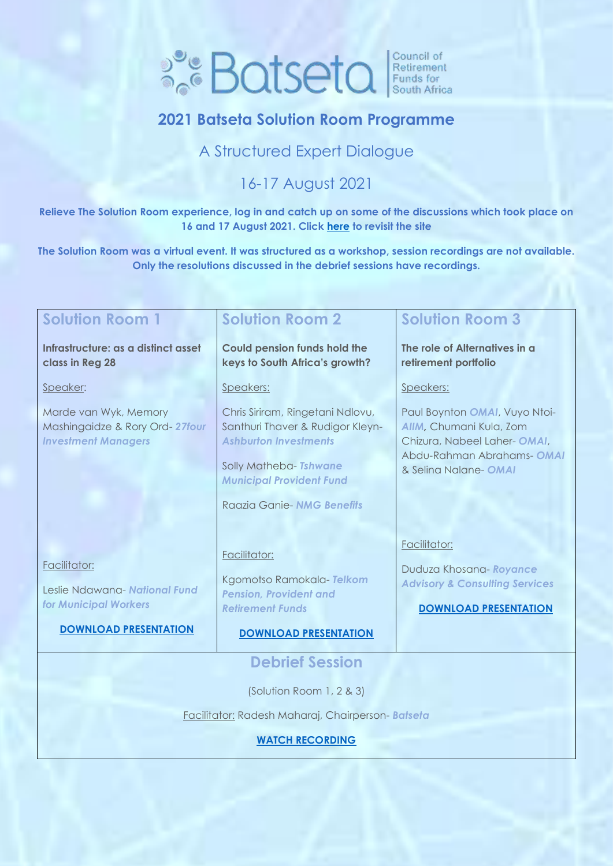# **Batseta** Funds for

## **2021 Batseta Solution Room Programme**

## A Structured Expert Dialogue

## 16-17 August 2021

**Relieve The Solution Room experience, log in and catch up on some of the discussions which took place on 16 and 17 August 2021. Click [here](https://www.accelevents.com/e/TheSolutionRoom) to revisit the site**

**The Solution Room was a virtual event. It was structured as a workshop, session recordings are not available. Only the resolutions discussed in the debrief sessions have recordings.** 

#### **Solution Room 1 Infrastructure: as a distinct asset class in Reg 28** Speaker: Marde van Wyk, Memory Mashingaidze & Rory Ord- *27four Investment Managers* Facilitator: Leslie Ndawana- *National Fund for Municipal Workers* **[DOWNLOAD PRESENTATION](https://0e1cb70d-72e0-4c2c-bf8b-b449f072b6a7.usrfiles.com/ugd/0e1cb7_f8d26d8f9cba43e88ec380d7a340e1fe.pdf) Solution Room 2 Could pension funds hold the keys to South Africa's growth?** Speakers: Chris Siriram, Ringetani Ndlovu, Santhuri Thaver & Rudigor Kleyn-*Ashburton Investments* Solly Matheba- *Tshwane Municipal Provident Fund* Raazia Ganie- *NMG Benefits* Facilitator: Kgomotso Ramokala- *Telkom Pension, Provident and Retirement Funds* **[DOWNLOAD PRESENTATION](https://0e1cb70d-72e0-4c2c-bf8b-b449f072b6a7.usrfiles.com/ugd/0e1cb7_f86bc40c9c954bf8adc45de4f5578d82.pdf) Solution Room 3 The role of Alternatives in a retirement portfolio**  Speakers: Paul Boynton *OMAI*, Vuyo Ntoi-*AIIM,* Chumani Kula, Zom Chizura, Nabeel Laher- *OMAI*, Abdu-Rahman Abrahams- *OMAI* & Selina Nalane- *OMAI* Facilitator: Duduza Khosana- *Royance Advisory & Consulting Services* **[DOWNLOAD PRESENTATION](https://0e1cb70d-72e0-4c2c-bf8b-b449f072b6a7.usrfiles.com/ugd/0e1cb7_a9ef3b6415f94f7fa4aaf1c27d5a2059.pdf) Debrief Session** (Solution Room 1, 2 & 3) Facilitator: Radesh Maharaj, Chairperson- *Batseta* **[WATCH RECORDING](https://www.accelevents.com/e/TheSolutionRoom?aff=Batsetaemailsignature)**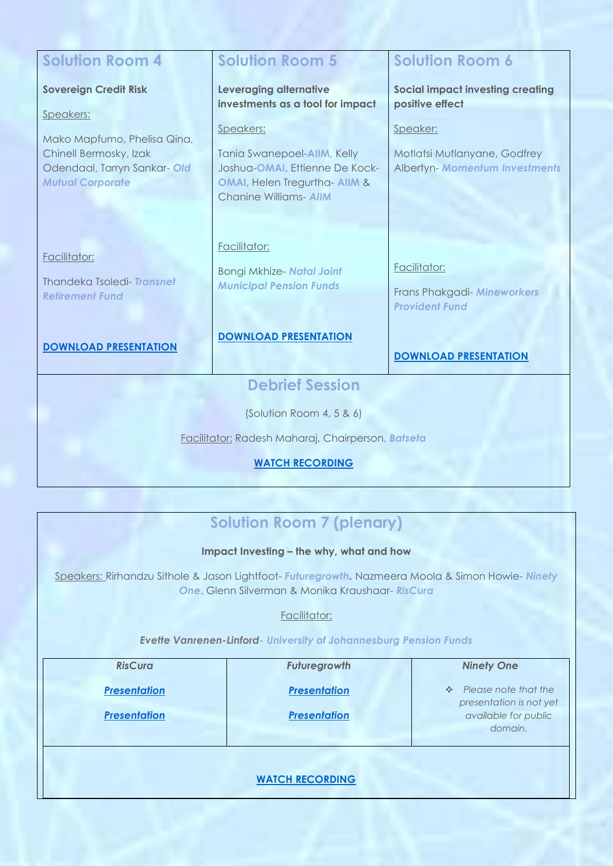| <b>Solution Room 4</b>                                | <b>Solution Room 5</b>                                        | <b>Solution Room 6</b>                                         |  |  |
|-------------------------------------------------------|---------------------------------------------------------------|----------------------------------------------------------------|--|--|
| <b>Sovereign Credit Risk</b>                          | Leveraging alternative<br>investments as a tool for impact    | <b>Social impact investing creating</b><br>positive effect     |  |  |
| Speakers:                                             |                                                               |                                                                |  |  |
| Mako Mapfumo, Phelisa Qina,                           | Speakers:                                                     | Speaker:                                                       |  |  |
| Chinell Bermosky, Izak<br>Odendaal, Tarryn Sankar-Old | Tania Swanepoel-AIIM, Kelly<br>Joshua-OMAI, Ettienne De Kock- | Motlatsi Mutlanyane, Godfrey<br>Albertyn- Momentum Investments |  |  |
| <b>Mutual Corporate</b>                               | OMAI, Helen Tregurtha- AIIM &                                 |                                                                |  |  |
|                                                       | <b>Chanine Williams-AIIM</b>                                  |                                                                |  |  |
|                                                       |                                                               |                                                                |  |  |
| Facilitator:                                          | Facilitator:                                                  |                                                                |  |  |
| Thandeka Tsoledi-Transnet<br><b>Retirement Fund</b>   | Bongi Mkhize- Natal Joint<br><b>Municipal Pension Funds</b>   | Facilitator:                                                   |  |  |
|                                                       |                                                               | Frans Phakgadi- Mineworkers<br><b>Provident Fund</b>           |  |  |
|                                                       |                                                               |                                                                |  |  |
| <b>DOWNLOAD PRESENTATION</b>                          | <b>DOWNLOAD PRESENTATION</b>                                  |                                                                |  |  |
|                                                       |                                                               | <b>DOWNLOAD PRESENTATION</b>                                   |  |  |
| <b>Debrief Session</b>                                |                                                               |                                                                |  |  |
| (Solution Room 4, 5 & 6)                              |                                                               |                                                                |  |  |
| Facilitator: Radesh Maharaj, Chairperson, Batseta     |                                                               |                                                                |  |  |
| <b>WATCH RECORDING</b>                                |                                                               |                                                                |  |  |
|                                                       |                                                               |                                                                |  |  |

## **Solution Room 7 (plenary)**

#### **Impact Investing – the why, what and how**

Speakers: Rirhandzu Sithole & Jason Lightfoot- *Futuregrowth.* Nazmeera Moola & Simon Howie- *Ninety One*. Glenn Silverman & Monika Kraushaar- *RisCura*

#### Facilitator:

#### *Evette Vanrenen-Linford- University of Johannesburg Pension Funds*

| <b>RisCura</b>      | <b>Futuregrowth</b>    | <b>Ninety One</b>                                      |
|---------------------|------------------------|--------------------------------------------------------|
| <b>Presentation</b> | <b>Presentation</b>    | $\div$ Please note that the<br>presentation is not yet |
| <b>Presentation</b> | <b>Presentation</b>    | available for public<br>domain.                        |
|                     | <b>WATCH RECORDING</b> |                                                        |